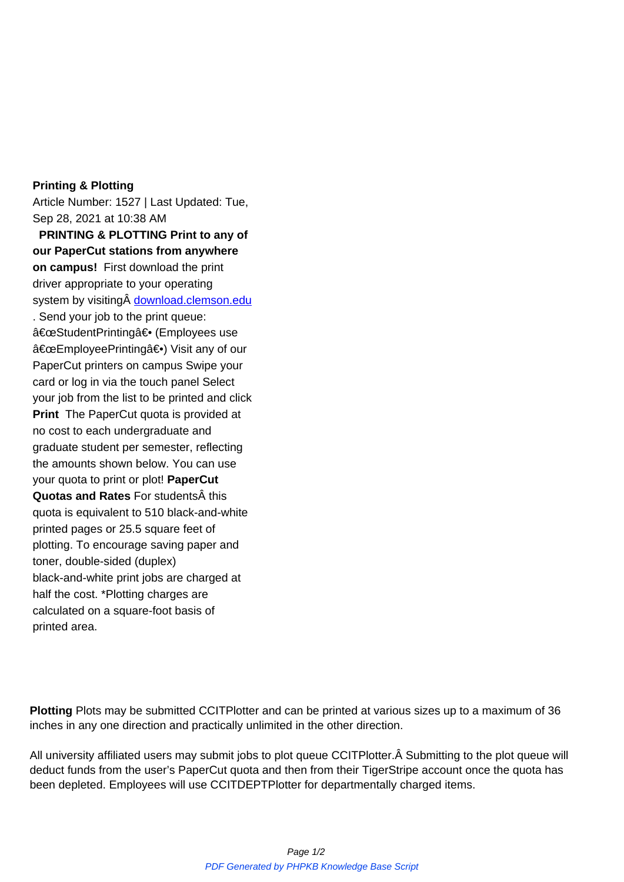## **Printing & Plotting**

Article Number: 1527 | Last Updated: Tue, Sep 28, 2021 at 10:38 AM **PRINTING & PLOTTING Print to any of our PaperCut stations from anywhere on campus!** First download the print driver appropriate to your operating system by visiting download.clemson.edu . Send your job to the print queue: "StudentPrinting― (Employees use "EmployeePrinting―) Visit any of our PaperCut printers on campus Swipe your card or log in via the touch panel Select your job from the list to be printed and click **Print** The PaperCut quota is provided at no cost to each undergraduate and graduate student per semester, reflecting the amounts shown below. You can use your quota to print or plot! **PaperCut Quotas and Rates** For students A this quota is equivalent to 510 black-and-white printed pages or 25.5 square feet of plotting. To encourage saving paper and toner, double-sided (duplex) black-and-white print jobs are charged at half the cost. \*Plotting charges are calculated on a square-foot basis of printed area.

**Plotting** Plots may be submitted CCITPlotter and can be printed at various sizes up to a maximum of 36 inches in any one direction and practically unlimited in the other direction.

All university affiliated users may submit jobs to plot queue CCITPlotter. Â Submitting to the plot queue will deduct funds from the user's PaperCut quota and then from their TigerStripe account once the quota has been depleted. Employees will use CCITDEPTPlotter for departmentally charged items.